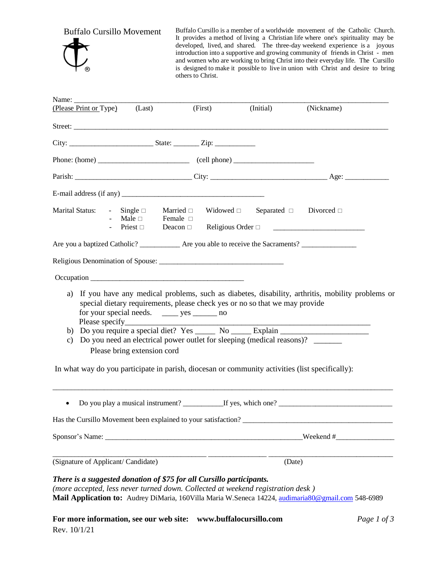Buffalo Cursillo Movement

Buffalo Cursillo is a member of a worldwide movement of the Catholic Church. It provides a method of living a Christian life where one's spirituality may be developed, lived, and shared. The three-day weekend experience is a joyous introduction into a supportive and growing community of friends in Christ - men and women who are working to bring Christ into their everyday life. The Cursillo is designed to make it possible to live in union with Christ and desire to bring others to Christ.

| Name: $\frac{1}{\sqrt{1-\frac{1}{2}}\cdot\frac{1}{\sqrt{1-\frac{1}{2}}}}$<br>(Please Print or Type)                                                                                                                                                                                                            | (Last)                                                           | (First)                                         | (Initial)                                                                                                                                             | (Nickname)                                                                                         |  |
|----------------------------------------------------------------------------------------------------------------------------------------------------------------------------------------------------------------------------------------------------------------------------------------------------------------|------------------------------------------------------------------|-------------------------------------------------|-------------------------------------------------------------------------------------------------------------------------------------------------------|----------------------------------------------------------------------------------------------------|--|
|                                                                                                                                                                                                                                                                                                                |                                                                  |                                                 |                                                                                                                                                       |                                                                                                    |  |
|                                                                                                                                                                                                                                                                                                                |                                                                  |                                                 |                                                                                                                                                       |                                                                                                    |  |
|                                                                                                                                                                                                                                                                                                                |                                                                  |                                                 |                                                                                                                                                       |                                                                                                    |  |
|                                                                                                                                                                                                                                                                                                                |                                                                  |                                                 |                                                                                                                                                       |                                                                                                    |  |
| E-mail address (if any) $\frac{1}{2}$ $\frac{1}{2}$ $\frac{1}{2}$ $\frac{1}{2}$ $\frac{1}{2}$ $\frac{1}{2}$ $\frac{1}{2}$ $\frac{1}{2}$ $\frac{1}{2}$ $\frac{1}{2}$ $\frac{1}{2}$ $\frac{1}{2}$ $\frac{1}{2}$ $\frac{1}{2}$ $\frac{1}{2}$ $\frac{1}{2}$ $\frac{1}{2}$ $\frac{1}{2}$ $\frac{1}{2}$ $\frac{1}{2$ |                                                                  |                                                 |                                                                                                                                                       |                                                                                                    |  |
| Marital Status: $\qquad \qquad - \qquad$ Single $\Box$                                                                                                                                                                                                                                                         | - Single □ Married □<br>- Male □ Female □<br>- Priest □ Deacon □ | Married $\Box$                                  | Widowed $\square$ Separated $\square$ Divorced $\square$<br>Religious Order $\square$                                                                 |                                                                                                    |  |
| Are you a baptized Catholic? _____________ Are you able to receive the Sacraments? _________________                                                                                                                                                                                                           |                                                                  |                                                 |                                                                                                                                                       |                                                                                                    |  |
|                                                                                                                                                                                                                                                                                                                |                                                                  |                                                 |                                                                                                                                                       |                                                                                                    |  |
| Occupation                                                                                                                                                                                                                                                                                                     |                                                                  |                                                 |                                                                                                                                                       |                                                                                                    |  |
| a)<br>c)                                                                                                                                                                                                                                                                                                       |                                                                  | for your special needs. _______ yes ________ no | special dietary requirements, please check yes or no so that we may provide<br>Do you need an electrical power outlet for sleeping (medical reasons)? | If you have any medical problems, such as diabetes, disability, arthritis, mobility problems or    |  |
| In what way do you participate in parish, diocesan or community activities (list specifically):                                                                                                                                                                                                                | Please bring extension cord                                      |                                                 |                                                                                                                                                       |                                                                                                    |  |
| $\bullet$                                                                                                                                                                                                                                                                                                      |                                                                  |                                                 |                                                                                                                                                       |                                                                                                    |  |
|                                                                                                                                                                                                                                                                                                                |                                                                  |                                                 |                                                                                                                                                       | Has the Cursillo Movement been explained to your satisfaction?                                     |  |
| Sponsor's Name: Sponsor's Name:                                                                                                                                                                                                                                                                                |                                                                  |                                                 | $\text{Weekend}\ \#$                                                                                                                                  |                                                                                                    |  |
| (Signature of Applicant/Candidate)                                                                                                                                                                                                                                                                             |                                                                  |                                                 |                                                                                                                                                       | (Date)                                                                                             |  |
| There is a suggested donation of \$75 for all Cursillo participants.<br>(more accepted, less never turned down. Collected at weekend registration desk)                                                                                                                                                        |                                                                  |                                                 |                                                                                                                                                       | Mail Application to: Audrey DiMaria, 160Villa Maria W.Seneca 14224, audimaria80@gmail.com 548-6989 |  |

**For more information, see our web site: www.buffalocursillo.com** *Page 1 of 3* Rev. 10/1/21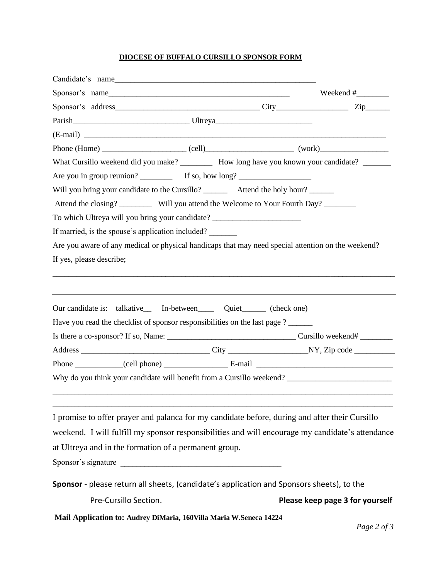#### **DIOCESE OF BUFFALO CURSILLO SPONSOR FORM**

| Candidate's name                                                                                                                                                                   |  |                                 |  |  |  |  |
|------------------------------------------------------------------------------------------------------------------------------------------------------------------------------------|--|---------------------------------|--|--|--|--|
| Sponsor's name                                                                                                                                                                     |  |                                 |  |  |  |  |
|                                                                                                                                                                                    |  |                                 |  |  |  |  |
|                                                                                                                                                                                    |  |                                 |  |  |  |  |
|                                                                                                                                                                                    |  |                                 |  |  |  |  |
|                                                                                                                                                                                    |  |                                 |  |  |  |  |
| What Cursillo weekend did you make? __________ How long have you known your candidate? _______                                                                                     |  |                                 |  |  |  |  |
|                                                                                                                                                                                    |  |                                 |  |  |  |  |
| Will you bring your candidate to the Cursillo? _________ Attend the holy hour? _______<br>Attend the closing? ___________ Will you attend the Welcome to Your Fourth Day? ________ |  |                                 |  |  |  |  |
|                                                                                                                                                                                    |  |                                 |  |  |  |  |
| If married, is the spouse's application included?                                                                                                                                  |  |                                 |  |  |  |  |
| Are you aware of any medical or physical handicaps that may need special attention on the weekend?<br>If yes, please describe;                                                     |  |                                 |  |  |  |  |
|                                                                                                                                                                                    |  |                                 |  |  |  |  |
|                                                                                                                                                                                    |  |                                 |  |  |  |  |
| Our candidate is: talkative_ In-between_____ Quiet______ (check one)                                                                                                               |  |                                 |  |  |  |  |
| Have you read the checklist of sponsor responsibilities on the last page ?                                                                                                         |  |                                 |  |  |  |  |
|                                                                                                                                                                                    |  |                                 |  |  |  |  |
|                                                                                                                                                                                    |  |                                 |  |  |  |  |
|                                                                                                                                                                                    |  |                                 |  |  |  |  |
| Why do you think your candidate will benefit from a Cursillo weekend?                                                                                                              |  |                                 |  |  |  |  |
|                                                                                                                                                                                    |  |                                 |  |  |  |  |
|                                                                                                                                                                                    |  |                                 |  |  |  |  |
| I promise to offer prayer and palanca for my candidate before, during and after their Cursillo                                                                                     |  |                                 |  |  |  |  |
| weekend. I will fulfill my sponsor responsibilities and will encourage my candidate's attendance                                                                                   |  |                                 |  |  |  |  |
| at Ultreya and in the formation of a permanent group.                                                                                                                              |  |                                 |  |  |  |  |
| Sponsor's signature                                                                                                                                                                |  |                                 |  |  |  |  |
| Sponsor - please return all sheets, (candidate's application and Sponsors sheets), to the                                                                                          |  |                                 |  |  |  |  |
| Pre-Cursillo Section.                                                                                                                                                              |  | Please keep page 3 for yourself |  |  |  |  |
| Mail Application to: Audrey DiMaria, 160Villa Maria W.Seneca 14224                                                                                                                 |  |                                 |  |  |  |  |
|                                                                                                                                                                                    |  | Page 2 of 3                     |  |  |  |  |